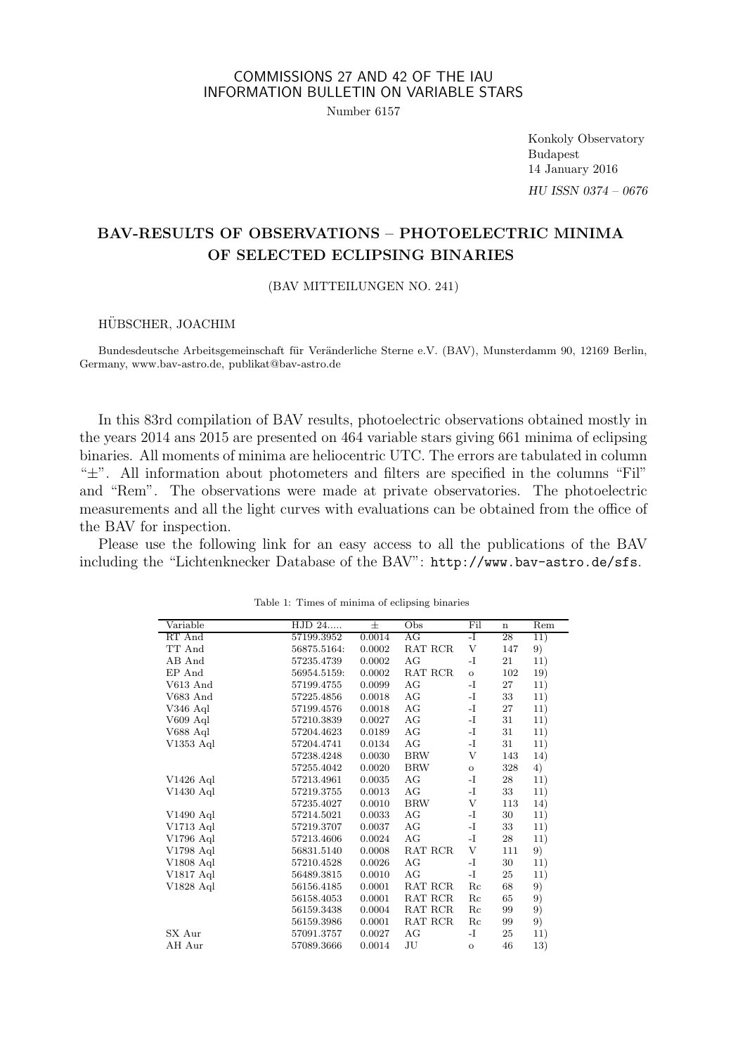## COMMISSIONS 27 AND 42 OF THE IAU INFORMATION BULLETIN ON VARIABLE STARS

Number 6157

Konkoly Observatory Budapest 14 January 2016 HU ISSN 0374 – 0676

# BAV-RESULTS OF OBSERVATIONS – PHOTOELECTRIC MINIMA OF SELECTED ECLIPSING BINARIES

(BAV MITTEILUNGEN NO. 241)

### HÜBSCHER, JOACHIM

Bundesdeutsche Arbeitsgemeinschaft für Veränderliche Sterne e.V. (BAV), Munsterdamm 90, 12169 Berlin, Germany, www.bav-astro.de, publikat@bav-astro.de

In this 83rd compilation of BAV results, photoelectric observations obtained mostly in the years 2014 ans 2015 are presented on 464 variable stars giving 661 minima of eclipsing binaries. All moments of minima are heliocentric UTC. The errors are tabulated in column "±". All information about photometers and filters are specified in the columns "Fil" and "Rem". The observations were made at private observatories. The photoelectric measurements and all the light curves with evaluations can be obtained from the office of the BAV for inspection.

Please use the following link for an easy access to all the publications of the BAV including the "Lichtenknecker Database of the BAV": http://www.bav-astro.de/sfs.

| Variable    | HJD 24      | 士      | Obs        | Fil          | $\mathbf n$ | Rem |
|-------------|-------------|--------|------------|--------------|-------------|-----|
| RT And      | 57199.3952  | 0.0014 | AG         | -1           | 28          | 11) |
| TT And      | 56875.5164: | 0.0002 | RAT RCR    | V            | 147         | 9)  |
| AB And      | 57235.4739  | 0.0002 | AG         | $-I$         | 21          | 11) |
| EP And      | 56954.5159: | 0.0002 | RAT RCR    | $\mathbf O$  | 102         | 19) |
| $V613$ And  | 57199.4755  | 0.0099 | AG         | $-I$         | 27          | 11) |
| V683 And    | 57225.4856  | 0.0018 | AG         | $-I$         | 33          | 11) |
| V346 Aql    | 57199.4576  | 0.0018 | AG         | $-I$         | 27          | 11) |
| V609 Aql    | 57210.3839  | 0.0027 | AG         | $-I$         | 31          | 11) |
| V688 Aql    | 57204.4623  | 0.0189 | AG         | $-I$         | 31          | 11) |
| V1353 Aql   | 57204.4741  | 0.0134 | AG         | $-I$         | 31          | 11) |
|             | 57238.4248  | 0.0030 | <b>BRW</b> | V            | 143         | 14) |
|             | 57255.4042  | 0.0020 | <b>BRW</b> | $\circ$      | 328         | 4)  |
| $V1426$ Aql | 57213.4961  | 0.0035 | AG         | $-I$         | 28          | 11) |
| $V1430$ Aql | 57219.3755  | 0.0013 | AG         | $-I$         | 33          | 11) |
|             | 57235.4027  | 0.0010 | <b>BRW</b> | V            | 113         | 14) |
| $V1490$ Aql | 57214.5021  | 0.0033 | AG         | $-I$         | 30          | 11) |
| V1713 Aql   | 57219.3707  | 0.0037 | AG         | $-I$         | 33          | 11) |
| V1796 Aql   | 57213.4606  | 0.0024 | AG         | $-I$         | 28          | 11) |
| V1798 Aql   | 56831.5140  | 0.0008 | RAT RCR    | V            | 111         | 9)  |
| V1808 Aql   | 57210.4528  | 0.0026 | AG         | -I           | 30          | 11) |
| V1817 Aql   | 56489.3815  | 0.0010 | AG         | $-I$         | 25          | 11) |
| V1828 Aql   | 56156.4185  | 0.0001 | RAT RCR    | Rc           | 68          | 9)  |
|             | 56158.4053  | 0.0001 | RAT RCR    | Rc           | 65          | 9)  |
|             | 56159.3438  | 0.0004 | RAT RCR    | Re           | 99          | 9)  |
|             | 56159.3986  | 0.0001 | RAT RCR    | Re           | 99          | 9)  |
| SX Aur      | 57091.3757  | 0.0027 | AG         | $-I$         | 25          | 11) |
| AH Aur      | 57089.3666  | 0.0014 | $\rm{J}U$  | $\mathbf{o}$ | 46          | 13) |
|             |             |        |            |              |             |     |

Table 1: Times of minima of eclipsing binaries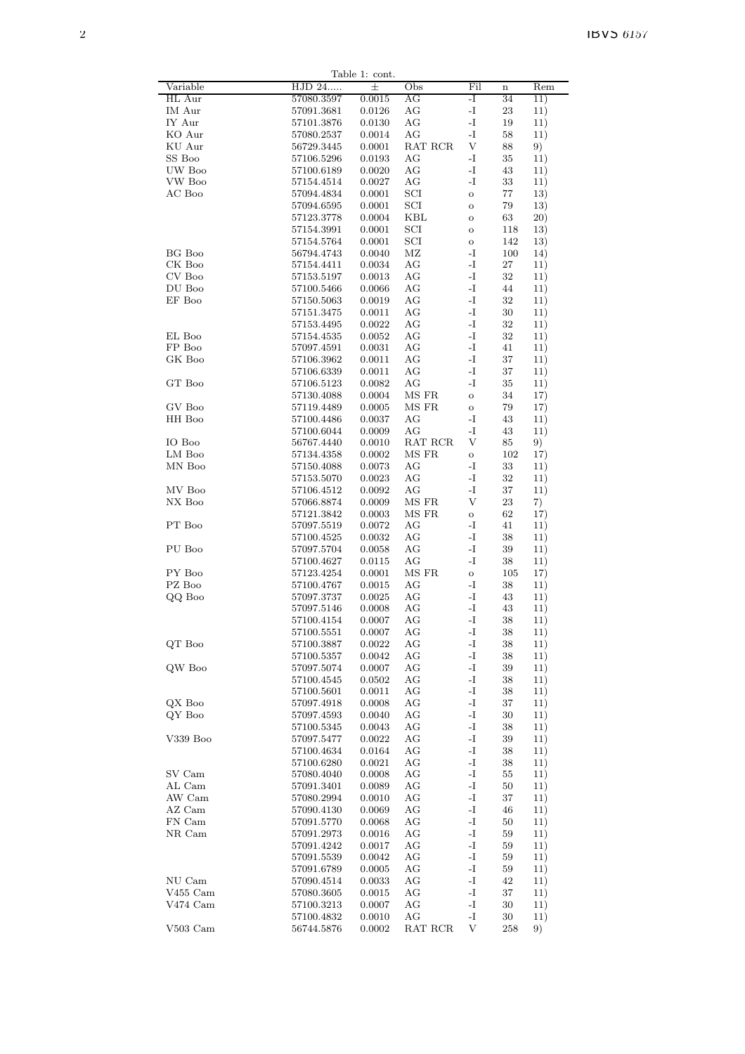|                      |                          | Table 1: cont.   |                                           |                             |          |            |
|----------------------|--------------------------|------------------|-------------------------------------------|-----------------------------|----------|------------|
| Variable             | HJD 24                   | 士                | Obs                                       | Fil                         | $\bf n$  | Rem        |
| HL Aur               | 57080.3597               | 0.0015           | AG                                        | -I                          | 34       | 11)        |
| IM Aur               | 57091.3681               | 0.0126           | AG                                        | $\mathbf{-I}$               | 23       | 11)        |
| IY Aur               | $57101.3876\,$           | 0.0130           | AG                                        | -I                          | 19       | 11)        |
| KO Aur               | 57080.2537               | 0.0014           | AG                                        | -I                          | 58       | 11)        |
| KU Aur<br>SS Boo     | 56729.3445               | 0.0001           | RAT RCR                                   | V                           | 88       | 9)         |
| UW Boo               | 57106.5296               | 0.0193           | AG<br>AG                                  | -I<br>-I                    | 35<br>43 | 11)<br>11) |
| VW Boo               | 57100.6189<br>57154.4514 | 0.0020<br>0.0027 | AG                                        | -I                          | 33       | 11)        |
| AC Boo               | 57094.4834               | 0.0001           | SCI                                       | $\rm{O}$                    | 77       | 13)        |
|                      | 57094.6595               | 0.0001           | SCI                                       | $\rm{O}$                    | 79       | 13)        |
|                      | 57123.3778               | 0.0004           | KBL                                       | $\rm{O}$                    | 63       | 20)        |
|                      | 57154.3991               | 0.0001           | SCI                                       | $\rm{O}$                    | 118      | 13)        |
|                      | 57154.5764               | 0.0001           | SCI                                       | $\rm{O}$                    | 142      | 13)        |
| BG Boo               | 56794.4743               | 0.0040           | $\rm MZ$                                  | -I                          | 100      | 14)        |
| CK Boo               | 57154.4411               | 0.0034           | AG                                        | -I                          | 27       | 11)        |
| CV Boo               | 57153.5197               | 0.0013           | AG                                        | -I                          | 32       | 11)        |
| DU Boo               | 57100.5466               | 0.0066           | AG                                        | -I                          | 44       | 11)        |
| EF Boo               | 57150.5063               | 0.0019           | AG                                        | $\mathbf{I}$ –              | 32       | 11)        |
|                      | 57151.3475               | 0.0011           | AG                                        | -I                          | 30       | 11)        |
| EL Boo               | 57153.4495<br>57154.4535 | 0.0022<br>0.0052 | AG<br>AG                                  | -I<br>-I                    | 32<br>32 | 11)<br>11) |
| FP Boo               | 57097.4591               | 0.0031           | AG                                        | -I                          | 41       | 11)        |
| GK Boo               | 57106.3962               | 0.0011           | AG                                        | -I                          | 37       | 11)        |
|                      | 57106.6339               | 0.0011           | AG                                        | -I                          | 37       | 11)        |
| GT Boo               | 57106.5123               | 0.0082           | AG                                        | -I                          | 35       | 11)        |
|                      | 57130.4088               | 0.0004           | MS FR                                     | $\mathbf{o}$                | 34       | 17)        |
| GV Boo               | 57119.4489               | 0.0005           | MS FR                                     | $\mathbf O$                 | 79       | 17)        |
| HH Boo               | 57100.4486               | 0.0037           | AG                                        | -I                          | 43       | 11)        |
|                      | 57100.6044               | 0.0009           | AG                                        | -1                          | 43       | 11)        |
| IO Boo               | 56767.4440               | 0.0010           | $\operatorname{RAT}$ $\operatorname{RCR}$ | V                           | 85       | 9)         |
| LM Boo               | 57134.4358               | 0.0002           | MS FR                                     | $\mathbf{o}$                | 102      | 17)        |
| MN Boo               | 57150.4088               | 0.0073<br>0.0023 | AG<br>AG                                  | -I<br>-I                    | 33<br>32 | 11)        |
| MV Boo               | 57153.5070<br>57106.4512 | 0.0092           | AG                                        | -I                          | 37       | 11)<br>11) |
| NX Boo               | 57066.8874               | 0.0009           | MS FR                                     | V                           | 23       | 7)         |
|                      | 57121.3842               | 0.0003           | MS FR                                     | $\mathbf{o}$                | 62       | 17)        |
| PT Boo               | 57097.5519               | 0.0072           | AG                                        | $\mathbf{-I}$               | 41       | 11)        |
|                      | 57100.4525               | 0.0032           | AG                                        | -I                          | 38       | 11)        |
| PU Boo               | 57097.5704               | 0.0058           | AG                                        | -I                          | 39       | 11)        |
|                      | 57100.4627               | 0.0115           | AG                                        | -I                          | 38       | 11)        |
| PY Boo               | 57123.4254               | 0.0001           | MS FR                                     | $\mathbf{o}$                | 105      | 17)        |
| PZ Boo               | 57100.4767               | 0.0015           | AG                                        | -I                          | 38       | 11)        |
| QQ Boo               | 57097.3737               | 0.0025           | AG<br>AG                                  | -I<br>-I                    | 43       | 11)        |
|                      | 57097.5146<br>57100.4154 | 0.0008<br>0.0007 | AG                                        | -I                          | 43<br>38 | 11)<br>11) |
|                      | 57100.5551               | 0.0007           | AG                                        | $\mathbf I$                 | 38       | 11)        |
| QT Boo               | 57100.3887               | 0.0022           | AG                                        | $\mathbf{I}$                | 38       | 11)        |
|                      | 57100.5357               | 0.0042           | AG                                        | $\mathbf I$                 | 38       | 11)        |
| QW Boo               | 57097.5074               | 0.0007           | AG                                        | $\mathbf{I}$                | 39       | 11)        |
|                      | 57100.4545               | 0.0502           | $\rm{AG}$                                 | $\mathbf I$                 | 38       | 11)        |
|                      | 57100.5601               | 0.0011           | AG                                        | $\mathbf I$                 | 38       | 11)        |
| QX Boo               | 57097.4918               | 0.0008           | AG                                        | -I                          | 37       | 11)        |
| QY Boo               | 57097.4593               | 0.0040           | AG                                        | -1                          | 30       | 11)        |
| V339 Boo             | 57100.5345               | 0.0043           | AG<br>AG                                  | -I<br>$\mathbf I$           | 38       | 11)        |
|                      | 57097.5477<br>57100.4634 | 0.0022<br>0.0164 | $\rm{AG}$                                 | $\mathbf I$                 | 39<br>38 | 11)<br>11) |
|                      | 57100.6280               | 0.0021           | AG                                        | $\mathbf{I}$                | 38       | 11)        |
| SV Cam               | 57080.4040               | 0.0008           | AG                                        | -1                          | 55       | 11)        |
| AL Cam               | $57091.3401\,$           | 0.0089           | AG                                        | -I                          | 50       | 11)        |
| AW Cam               | 57080.2994               | 0.0010           | AG                                        | $\mathbf I$                 | 37       | 11)        |
| AZ Cam               | 57090.4130               | 0.0069           | AG                                        | -1                          | 46       | 11)        |
| FN Cam               | 57091.5770               | 0.0068           | AG                                        | $\mathbf{-I}$               | 50       | 11)        |
| NR Cam               | 57091.2973               | 0.0016           | AG                                        | $\mathbf I$                 | 59       | 11)        |
|                      | 57091.4242               | 0.0017           | AG                                        | -I                          | 59       | 11)        |
|                      | 57091.5539               | 0.0042           | AG                                        | -1                          | 59       | 11)        |
|                      | 57091.6789               | 0.0005           | AG                                        | $\mathbf I$                 | 59       | 11)        |
| NU Cam<br>$V455$ Cam | 57090.4514               | 0.0033           | AG<br>AG                                  | $\mathbf I$<br>$\mathbf{I}$ | 42<br>37 | 11)        |
| V474 Cam             | 57080.3605<br>57100.3213 | 0.0015<br>0.0007 | $\rm{AG}$                                 | $\mathbf{-I}$               | 30       | 11)<br>11) |
|                      | 57100.4832               | 0.0010           | $\rm{AG}$                                 | -1                          | 30       | 11)        |
| $\rm V503~Cam$       | 56744.5876               | 0.0002           | $\operatorname{RAT}$ $\operatorname{RCR}$ | V                           | 258      | 9)         |
|                      |                          |                  |                                           |                             |          |            |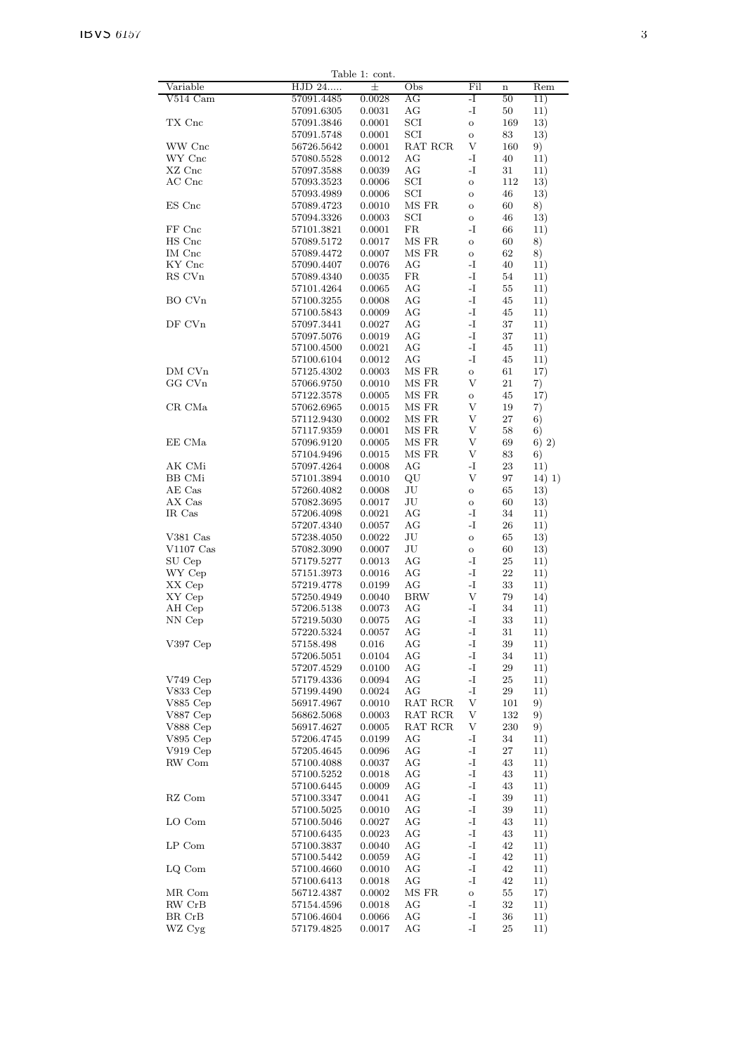|                  |                          | Table 1: cont.   |                      |                     |          |            |
|------------------|--------------------------|------------------|----------------------|---------------------|----------|------------|
| Variable         | HJD 24                   | 士                | Obs                  | Fil                 | $\bf n$  | Rem        |
| V514 Cam         | 57091.4485               | 0.0028           | AG                   | -I                  | 50       | 11)        |
|                  | 57091.6305               | 0.0031           | AG                   | -I                  | 50       | 11)        |
| TX Cnc           | 57091.3846               | 0.0001           | SCI                  | $\circ$             | 169      | 13)        |
|                  | 57091.5748               | 0.0001           | SCI                  | $\rm{O}$            | 83       | 13)        |
| WW Cnc           | 56726.5642               | 0.0001           | RAT RCR              | V                   | 160      | 9)         |
| WY Cnc           | 57080.5528               | 0.0012           | AG                   | -I                  | 40       | 11)        |
| XZ Cnc           | 57097.3588               | 0.0039           | AG                   | -I                  | 31       | 11)        |
| AC Cnc           | 57093.3523               | 0.0006           | SCI                  | $\circ$             | 112      | 13)        |
|                  | 57093.4989               | 0.0006           | SCI                  | $\mathbf{o}$        | 46       | 13)        |
| ES Cnc           | 57089.4723               | 0.0010           | MS FR                | $\overline{O}$      | 60       | 8)         |
|                  | 57094.3326               | 0.0003           | SCI                  | $\mathbf{o}$        | 46       | 13)        |
| FF Cnc           | 57101.3821               | 0.0001           | $_{\rm FR}$<br>MS FR | -I                  | 66       | 11)        |
| HS Cnc<br>IM Cnc | 57089.5172               | 0.0017           | MS FR                | $\mathbf{o}$        | 60<br>62 | 8)         |
| KY Cnc           | 57089.4472<br>57090.4407 | 0.0007<br>0.0076 | AG                   | $\rm{O}$<br>-I      | 40       | 8)<br>11)  |
| RS CVn           | 57089.4340               | 0.0035           | $_{\rm FR}$          | $-I$                | 54       | 11)        |
|                  | 57101.4264               | 0.0065           | AG                   | $-I$                | 55       | 11)        |
| BO CVn           | 57100.3255               | 0.0008           | AG                   | $\mathbf{-I}$       | 45       | 11)        |
|                  | 57100.5843               | 0.0009           | AG                   | $-I$                | 45       | 11)        |
| DF CVn           | 57097.3441               | 0.0027           | AG                   | $-I$                | 37       | 11)        |
|                  | 57097.5076               | 0.0019           | AG                   | $-I$                | 37       | 11)        |
|                  | 57100.4500               | 0.0021           | AG                   | $-I$                | 45       | 11)        |
|                  | 57100.6104               | 0.0012           | AG                   | $-I$                | 45       | 11)        |
| DM CVn           | 57125.4302               | 0.0003           | MS FR                | $\circ$             | 61       | 17)        |
| GG CVn           | 57066.9750               | 0.0010           | MS FR                | V                   | 21       | 7)         |
|                  | 57122.3578               | 0.0005           | MS FR                | $\mathbf O$         | 45       | 17)        |
| CR CMa           | 57062.6965               | 0.0015           | MS FR                | V                   | 19       | 7)         |
|                  | 57112.9430               | 0.0002           | MS FR                | V                   | 27       | 6)         |
|                  | 57117.9359               | 0.0001           | MS FR                | V                   | 58       | 6)         |
| EE CMa           | 57096.9120               | 0.0005           | MS FR                | V                   | 69       | 6) 2)      |
|                  | 57104.9496               | 0.0015           | MS FR                | V                   | 83       | 6)         |
| AK CMi           | 57097.4264               | 0.0008           | AG                   | -I                  | 23       | 11)        |
| <b>BB</b> CMi    | 57101.3894               | 0.0010           | QU                   | V                   | 97       | 14) 1)     |
| AE Cas           | 57260.4082               | 0.0008           | JU                   | $\rm{O}$            | 65       | 13)        |
| AX Cas           | 57082.3695               | 0.0017           | JU                   | $\mathbf{o}$        | 60       | 13)        |
| IR Cas           | 57206.4098               | 0.0021           | AG                   | -I                  | 34       | 11)        |
|                  | 57207.4340               | 0.0057           | AG                   | -I                  | 26       | 11)        |
| V381 Cas         | 57238.4050               | 0.0022           | JU                   | $\mathbf{o}$        | 65       | 13)        |
| $V1107$ Cas      | 57082.3090               | 0.0007           | JU                   | $\mathbf O$         | 60       | 13)        |
| SU Cep           | 57179.5277               | 0.0013           | AG                   | $-I$                | 25       | 11)        |
| WY Cep           | 57151.3973               | 0.0016           | AG                   | $-I$                | 22       | 11)        |
| XX Cep           | 57219.4778               | 0.0199           | AG                   | $-I$                | 33       | 11)        |
| XY Cep           | 57250.4949               | 0.0040           | <b>BRW</b>           | $\mathbf{V}$        | 79       | 14)        |
| AH Cep           | 57206.5138               | 0.0073           | AG                   | -I                  | 34       | 11)        |
| NN Cep           | 57219.5030               | 0.0075           | AG                   | -I                  | 33       | 11)        |
|                  | 57220.5324               | 0.0057           | AG<br>AG             | -I<br>$\mathbf{-I}$ | 31<br>39 | 11)        |
| V397 Cep         | 57158.498<br>57206.5051  | 0.016<br>0.0104  | AG                   | $-I$                | 34       | 11)<br>11) |
|                  | 57207.4529               | 0.0100           | AG                   | $-I$                | 29       | 11)        |
| $V749$ Cep       | 57179.4336               | 0.0094           | AG                   | $\mathbf{-I}$       | 25       | 11)        |
| V833 Cep         | 57199.4490               | 0.0024           | AG                   | $\mathbf{-I}$       | 29       | 11)        |
| V885 Cep         | 56917.4967               | 0.0010           | RAT RCR              | V                   | 101      | 9)         |
| V887 Cep         | 56862.5068               | 0.0003           | RAT RCR              | V                   | 132      | 9)         |
| V888 Cep         | 56917.4627               | 0.0005           | RAT RCR              | V                   | 230      | 9)         |
| V895 Cep         | 57206.4745               | 0.0199           | AG                   | $-I$                | 34       | 11)        |
| $V919$ Cep       | 57205.4645               | 0.0096           | AG                   | $-I$                | 27       | 11)        |
| RW Com           | 57100.4088               | 0.0037           | AG                   | $-I$                | 43       | 11)        |
|                  | 57100.5252               | 0.0018           | AG                   | $-I$                | 43       | 11)        |
|                  | 57100.6445               | 0.0009           | AG                   | -I                  | 43       | 11)        |
| RZ Com           | 57100.3347               | 0.0041           | AG                   | $-I$                | 39       | 11)        |
|                  | 57100.5025               | 0.0010           | AG                   | $-I$                | 39       | 11)        |
| LO Com           | 57100.5046               | 0.0027           | AG                   | $-I$                | 43       | 11)        |
|                  | 57100.6435               | 0.0023           | AG                   | -I                  | 43       | 11)        |
| LP Com           | 57100.3837               | 0.0040           | AG                   | $-I$                | 42       | 11)        |
|                  | 57100.5442               | 0.0059           | AG                   | $-I$                | 42       | 11)        |
| LQ Com           | 57100.4660               | 0.0010           | AG                   | $-I$                | 42       | 11)        |
|                  | 57100.6413               | 0.0018           | AG                   | $-I$                | 42       | 11)        |
| MR Com           | 56712.4387               | 0.0002           | MS FR                | $\rm{O}$            | 55       | 17)        |
| RW CrB           | 57154.4596               | 0.0018           | AG                   | $\mathbf{-I}$       | 32       | 11)        |
| BR CrB           | 57106.4604               | 0.0066           | AG                   | -I                  | 36       | 11)        |
| WZ Cyg           | 57179.4825               | 0.0017           | AG                   | $\mathbf{-I}$       | 25       | 11)        |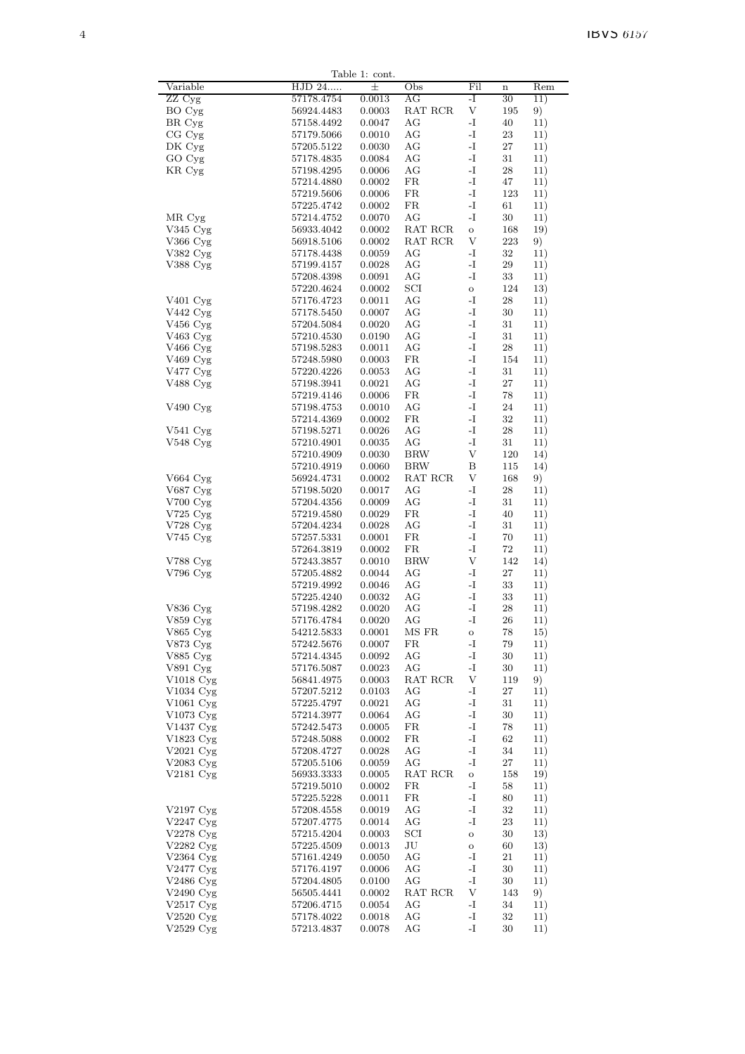|                        |                          | Table 1: cont.   |            |                              |             |            |
|------------------------|--------------------------|------------------|------------|------------------------------|-------------|------------|
| Variable               | HJD 24                   | 士                | Obs        | Fil                          | $\mathbf n$ | Rem        |
| ZZ Cyg                 | 57178.4754               | 0.0013           | AG         | -I                           | 30          | 11)        |
| BO Cyg                 | 56924.4483               | 0.0003           | RAT RCR    | V                            | 195         | 9)         |
| BR Cyg<br>CG Cyg       | 57158.4492               | 0.0047           | AG<br>AG   | -I<br>$\mathbf I$ –          | 40<br>23    | 11)        |
| $DKCyg$                | 57179.5066<br>57205.5122 | 0.0010<br>0.0030 | AG         | -I                           | 27          | 11)<br>11) |
| GO Cyg                 | 57178.4835               | 0.0084           | AG         | -I                           | 31          | 11)        |
| KR Cyg                 | 57198.4295               | 0.0006           | AG         | $\mathbf{I}$ –               | 28          | 11)        |
|                        | 57214.4880               | 0.0002           | FR         | $\mathbf I$                  | 47          | 11)        |
|                        | 57219.5606               | 0.0006           | FR         | $\mathbf{I}$ –               | 123         | 11)        |
|                        | 57225.4742               | 0.0002           | FR         | -I                           | 61          | 11)        |
| MR Cyg                 | 57214.4752               | 0.0070           | AG         | -I                           | 30          | 11)        |
| $V345 \,\mathrm{Cyg}$  | 56933.4042               | 0.0002           | RAT RCR    | $\mathbf{o}$                 | 168         | 19)        |
| $V366$ Cyg             | 56918.5106               | 0.0002           | RAT RCR    | V                            | 223         | 9)         |
| V382 Cyg               | 57178.4438               | 0.0059           | AG         | $\mathbf{-I}$                | $32\,$      | 11)        |
| V388 Cyg               | 57199.4157               | 0.0028           | AG         | -I                           | 29          | 11)        |
|                        | 57208.4398               | 0.0091           | AG         | -I                           | 33          | 11)        |
|                        | 57220.4624               | 0.0002           | SCI        | $\mathbf{o}$                 | 124         | 13)        |
| V <sub>401</sub> Cyg   | 57176.4723               | 0.0011           | AG         | -I                           | 28          | 11)        |
| V442 Cyg               | 57178.5450               | 0.0007           | AG         | -I                           | $30\,$      | 11)        |
| V456 Cyg               | 57204.5084               | 0.0020           | AG         | -I                           | 31          | 11)        |
| V463 Cyg               | 57210.4530               | 0.0190           | AG         | $\mathbf{I}$                 | 31          | 11)        |
| V <sub>466</sub> Cyg   | 57198.5283               | 0.0011           | AG         | -I                           | 28          | 11)        |
| V469 Cyg               | 57248.5980               | 0.0003           | FR         | $\mathbf{I}$ –               | 154         | 11)        |
| V477 Cyg<br>V488 Cyg   | 57220.4226               | 0.0053           | AG<br>AG   | -I<br>-I                     | 31<br>27    | 11)        |
|                        | 57198.3941<br>57219.4146 | 0.0021<br>0.0006 | FR         | -I                           | 78          | 11)<br>11) |
| V490 Cyg               | 57198.4753               | 0.0010           | AG         | -I                           | 24          | 11)        |
|                        | 57214.4369               | 0.0002           | FR         | -I                           | 32          | 11)        |
| $V541 \,\mathrm{Cyg}$  | 57198.5271               | 0.0026           | AG         | -I                           | 28          | 11)        |
| V548 Cyg               | 57210.4901               | 0.0035           | AG         | $\mathbf I$ –                | 31          | 11)        |
|                        | 57210.4909               | 0.0030           | <b>BRW</b> | V                            | 120         | 14)        |
|                        | 57210.4919               | 0.0060           | <b>BRW</b> | B                            | 115         | 14)        |
| V664 Cyg               | 56924.4731               | 0.0002           | RAT RCR    | V                            | 168         | 9)         |
| V687 Cyg               | 57198.5020               | 0.0017           | AG         | -I                           | 28          | 11)        |
| $V700 \,\mathrm{Cyg}$  | 57204.4356               | 0.0009           | AG         | -I                           | 31          | 11)        |
| V725 Cyg               | 57219.4580               | 0.0029           | FR         | -I                           | 40          | 11)        |
| V728 Cyg               | 57204.4234               | 0.0028           | AG         | -I                           | 31          | 11)        |
| V745 Cyg               | 57257.5331               | 0.0001           | FR         | -I                           | 70          | 11)        |
|                        | 57264.3819               | 0.0002           | FR         | -I                           | $72\,$      | 11)        |
| V788 Cyg               | 57243.3857               | 0.0010           | <b>BRW</b> | V                            | 142         | 14)        |
| $V796$ Cyg             | 57205.4882               | 0.0044           | AG         | -I                           | 27          | 11)        |
|                        | 57219.4992               | 0.0046           | AG         | -I                           | 33          | 11)        |
| V836 Cyg               | 57225.4240               | 0.0032           | AG         | -I<br>-I                     | 33          | 11)        |
| $V859$ Cyg             | 57198.4282<br>57176.4784 | 0.0020<br>0.0020 | AG<br>AG   | -I                           | 28<br>26    | 11)<br>11) |
|                        | 54212.5833               | 0.0001           | MS FR      |                              | 78          | 15)        |
| V865 Cyg<br>V873 Cyg   | 57242.5676               | 0.0007           | FR         | $\mathbf O$<br>-1            | 79          | 11)        |
| V885 Cyg               | 57214.4345               | 0.0092           | AG         | -1                           | 30          | 11)        |
| V891 Cyg               | 57176.5087               | 0.0023           | AG         | -I                           | $30\,$      | 11)        |
| V1018 $Cyg$            | 56841.4975               | 0.0003           | RAT RCR    | V                            | 119         | 9)         |
| V1034 Cyg              | 57207.5212               | 0.0103           | AG         | -I                           | 27          | 11)        |
| V1061 Cyg              | 57225.4797               | 0.0021           | AG         | $\mathbf{I}$                 | 31          | 11)        |
| V1073 Cyg              | 57214.3977               | 0.0064           | AG         | $\mathbf I$                  | 30          | 11)        |
| V1437 Cyg              | 57242.5473               | 0.0005           | FR         | -I                           | 78          | 11)        |
| V1823 Cyg              | 57248.5088               | 0.0002           | FR         | $\mathbf I$                  | 62          | 11)        |
| V2021 Cyg              | 57208.4727               | 0.0028           | AG         | $\mathbf{I}$                 | 34          | 11)        |
| V2083 $Cyg$            | 57205.5106               | 0.0059           | AG         | $\mathbf I$                  | 27          | 11)        |
| $V2181 \,\mathrm{Cyg}$ | 56933.3333               | 0.0005           | RAT RCR    | $\mathbf{o}$                 | 158         | 19)        |
|                        | 57219.5010               | 0.0002           | FR         | $\mathbf{-I}$                | 58          | 11)        |
|                        | 57225.5228               | 0.0011           | FR         | -I                           | 80          | 11)        |
| V2197 Cyg              | 57208.4558               | 0.0019           | AG         | -I                           | $32\,$      | 11)        |
| V2247 Cyg              | 57207.4775               | 0.0014           | AG<br>SCI  | -I                           | 23          | 11)        |
| V2278 Cyg<br>V2282 Cyg | 57215.4204<br>57225.4509 | 0.0003<br>0.0013 | $\rm JU$   | $\mathbf{o}$<br>$\mathbf{o}$ | 30<br>60    | 13)<br>13) |
| $V2364$ Cyg            | 57161.4249               | 0.0050           | AG         | $\mathbf I$                  | 21          | 11)        |
| V2477 Cyg              | 57176.4197               | 0.0006           | AG         | $\mathbf{I}$                 | 30          | 11)        |
| V2486 Cyg              | 57204.4805               | 0.0100           | AG         | $\mathbf{-I}$                | 30          | 11)        |
| V2490 Cyg              | 56505.4441               | 0.0002           | RAT RCR    | V                            | 143         | 9)         |
| V $2517$ Cyg           | 57206.4715               | 0.0054           | AG         | -I                           | 34          | 11)        |
| $V2520$ Cyg            | 57178.4022               | 0.0018           | $\rm{AG}$  | $\mathbf{I}$                 | $32\,$      | 11)        |
| $V2529$ Cyg            | 57213.4837               | 0.0078           | AG         | $\mathbf{I}$                 | $30\,$      | 11)        |
|                        |                          |                  |            |                              |             |            |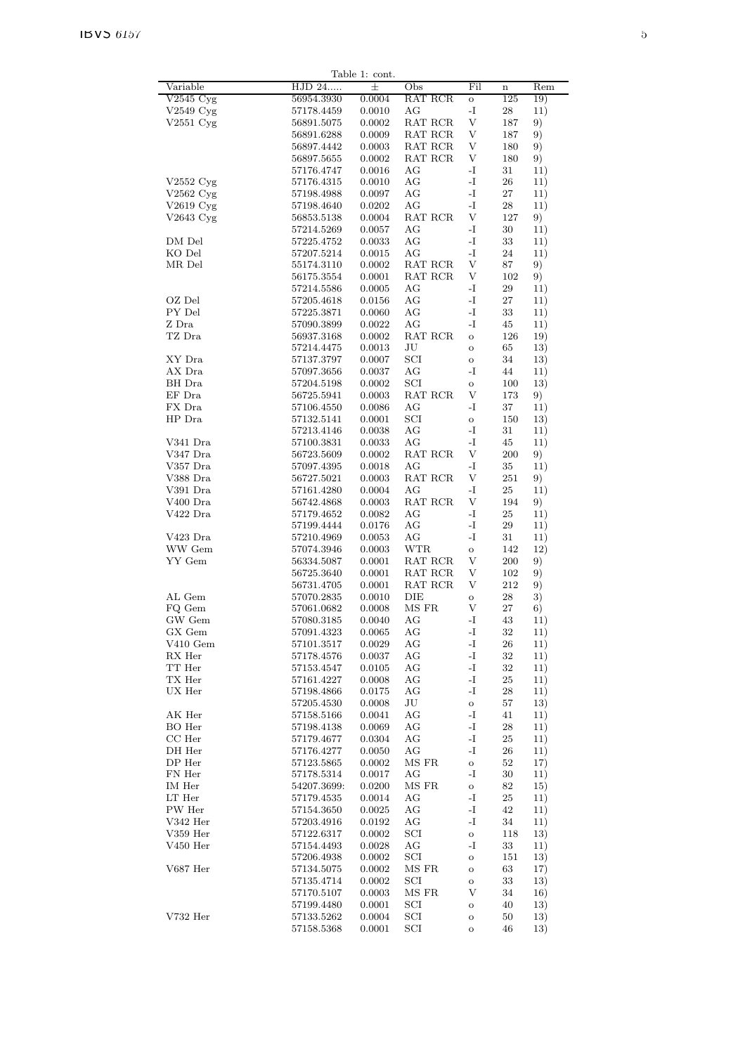|                                      |             | Table 1: cont. |            |               |             |     |
|--------------------------------------|-------------|----------------|------------|---------------|-------------|-----|
| Variable                             | HJD 24      | 士              | Obs        | Fil           | $\mathbf n$ | Rem |
| $\overline{\text{V2545 C}}\text{yg}$ | 56954.3930  | 0.0004         | RAT RCR    | $\mathbf O$   | 125         | 19) |
| $V2549$ Cyg                          | 57178.4459  | 0.0010         | AG         | $\mathbf{-I}$ | 28          | 11) |
| $V2551 \,\mathrm{Cyg}$               | 56891.5075  | 0.0002         | RAT RCR    | V             | 187         | 9)  |
|                                      | 56891.6288  | 0.0009         | RAT RCR    | V             | 187         | 9)  |
|                                      | 56897.4442  | 0.0003         | RAT RCR    | V             | 180         | 9)  |
|                                      | 56897.5655  | 0.0002         | RAT RCR    | V             | 180         | 9)  |
|                                      | 57176.4747  | 0.0016         | AG         | $\mathbf{I}$  | 31          | 11) |
| $V2552 \, Cyg$                       | 57176.4315  | 0.0010         | AG         | -I            | 26          | 11) |
| $V2562$ Cyg                          | 57198.4988  | 0.0097         | AG         | -I            | $27\,$      | 11) |
| $V2619$ Cyg                          | 57198.4640  | 0.0202         | AG         | $\mathbf{-I}$ | 28          | 11) |
| $V2643$ Cyg                          | 56853.5138  | 0.0004         | RAT RCR    | V             | 127         | 9)  |
|                                      |             | 0.0057         |            | -I            |             |     |
|                                      | 57214.5269  |                | AG         |               | 30          | 11) |
| DM Del                               | 57225.4752  | 0.0033         | AG         | -1            | 33          | 11) |
| KO Del                               | 57207.5214  | 0.0015         | AG         | $\mathbf{-I}$ | 24          | 11) |
| MR Del                               | 55174.3110  | 0.0002         | RAT RCR    | V             | 87          | 9)  |
|                                      | 56175.3554  | 0.0001         | RAT RCR    | V             | 102         | 9)  |
|                                      | 57214.5586  | 0.0005         | AG         | $\mathbf{I}$  | 29          | 11) |
| OZ Del                               | 57205.4618  | 0.0156         | AG         | -I            | 27          | 11) |
| PY Del                               | 57225.3871  | 0.0060         | AG         | -I            | 33          | 11) |
| Z Dra                                | 57090.3899  | 0.0022         | AG         | -I            | 45          | 11) |
| TZ Dra                               | 56937.3168  | 0.0002         | RAT RCR    | $\circ$       | 126         | 19) |
|                                      | 57214.4475  | 0.0013         | JU         | $\mathbf{o}$  | 65          | 13) |
| XY Dra                               | 57137.3797  | 0.0007         | SCI        | $\circ$       | 34          | 13) |
| AX Dra                               | 57097.3656  | 0.0037         | AG         | -I            | 44          | 11) |
| BH Dra                               | 57204.5198  | 0.0002         | SCI        |               | 100         | 13) |
| $EF$ $Dra$                           |             |                | RAT RCR    | $\circ$<br>V  |             |     |
|                                      | 56725.5941  | 0.0003         |            |               | 173         | 9)  |
| FX Dra                               | 57106.4550  | 0.0086         | AG         | -I            | 37          | 11) |
| HP Dra                               | 57132.5141  | 0.0001         | SCI        | $\mathbf O$   | 150         | 13) |
|                                      | 57213.4146  | 0.0038         | AG         | $\mathbf{-I}$ | 31          | 11) |
| V341 Dra                             | 57100.3831  | 0.0033         | AG         | $\mathbf{-I}$ | 45          | 11) |
| V347 Dra                             | 56723.5609  | 0.0002         | RAT RCR    | V             | 200         | 9)  |
| V357 Dra                             | 57097.4395  | 0.0018         | AG         | $\mathbf{-I}$ | 35          | 11) |
| V388 Dra                             | 56727.5021  | 0.0003         | RAT RCR    | V             | 251         | 9)  |
| V391 Dra                             | 57161.4280  | 0.0004         | AG         | -I            | 25          | 11) |
| V <sub>400</sub> Dra                 | 56742.4868  | 0.0003         | RAT RCR    | V             | 194         | 9)  |
| V422 Dra                             | 57179.4652  | 0.0082         | AG         | $\mathbf I$ . | 25          | 11) |
|                                      | 57199.4444  | 0.0176         | AG         | $\mathbf{-I}$ | 29          | 11) |
| $V423$ Dra                           | 57210.4969  | 0.0053         | AG         | -I            | 31          | 11) |
| WW Gem                               |             | 0.0003         | <b>WTR</b> |               |             |     |
|                                      | 57074.3946  |                |            | $\circ$       | 142         | 12) |
| YY Gem                               | 56334.5087  | 0.0001         | RAT RCR    | V             | 200         | 9)  |
|                                      | 56725.3640  | 0.0001         | RAT RCR    | V             | 102         | 9)  |
|                                      | 56731.4705  | 0.0001         | RAT RCR    | V             | 212         | 9)  |
| AL Gem                               | 57070.2835  | 0.0010         | DIE        | $\rm{O}$      | 28          | 3)  |
| FQ Gem                               | 57061.0682  | 0.0008         | MS FR      | V             | 27          | 6)  |
| GW Gem                               | 57080.3185  | 0.0040         | AG         | -I            | 43          | 11) |
| GX Gem                               | 57091.4323  | 0.0065         | AG         | -1            | 32          | 11) |
| $V410$ Gem                           | 57101.3517  | 0.0029         | AG         | $\mathbf{I}$  | 26          | 11) |
| RX Her                               | 57178.4576  | 0.0037         | AG         | $\mathbf{I}$  | $32\,$      | 11) |
| TT Her                               | 57153.4547  | 0.0105         | AG         | $\mathbf{I}$  | $32\,$      | 11) |
| TX Her                               | 57161.4227  | 0.0008         | AG         | -I            | 25          | 11) |
| UX Her                               | 57198.4866  | 0.0175         | AG         | -I            | 28          | 11) |
|                                      | 57205.4530  | 0.0008         | JU         | $\mathbf{o}$  | 57          | 13) |
| AK Her                               |             |                |            | $\mathbf{-I}$ |             |     |
|                                      | 57158.5166  | 0.0041         | AG         |               | 41          | 11) |
| BO Her                               | 57198.4138  | 0.0069         | AG         | -I            | 28          | 11) |
| $CC$ Her                             | 57179.4677  | 0.0304         | AG         | $\mathbf I$ . | 25          | 11) |
| DH Her                               | 57176.4277  | 0.0050         | AG         | -I            | 26          | 11) |
| $DP$ Her                             | 57123.5865  | 0.0002         | MS FR      | $\mathbf O$   | 52          | 17) |
| FN Her                               | 57178.5314  | 0.0017         | AG         | $\mathbf{-I}$ | $30\,$      | 11) |
| IM Her                               | 54207.3699: | 0.0200         | MS FR      | $\mathbf O$   | 82          | 15) |
| LT Her                               | 57179.4535  | 0.0014         | AG         | $\mathbf{I}$  | $25\,$      | 11) |
| PW Her                               | 57154.3650  | 0.0025         | AG         | $\mathbf{I}$  | 42          | 11) |
| $V342$ Her                           | 57203.4916  | 0.0192         | AG         | $\mathbf{-I}$ | 34          | 11) |
| $V359$ Her                           | 57122.6317  | 0.0002         | SCI        | $\circ$       | 118         | 13) |
| $V450$ Her                           | 57154.4493  | 0.0028         | AG         | -I            | 33          | 11) |
|                                      |             |                |            |               |             |     |
|                                      | 57206.4938  | 0.0002         | SCI        | $\circ$       | 151         | 13) |
| V687 Her                             | 57134.5075  | 0.0002         | MS FR      | $\circ$       | 63          | 17) |
|                                      | 57135.4714  | 0.0002         | SCI        | $\circ$       | 33          | 13) |
|                                      | 57170.5107  | 0.0003         | MS FR      | V             | 34          | 16) |
|                                      | 57199.4480  | 0.0001         | SCI        | $\mathbf O$   | 40          | 13) |
| V732 Her                             | 57133.5262  | 0.0004         | SCI        | $\circ$       | 50          | 13) |
|                                      | 57158.5368  | 0.0001         | SCI        | $\circ$       | 46          | 13) |
|                                      |             |                |            |               |             |     |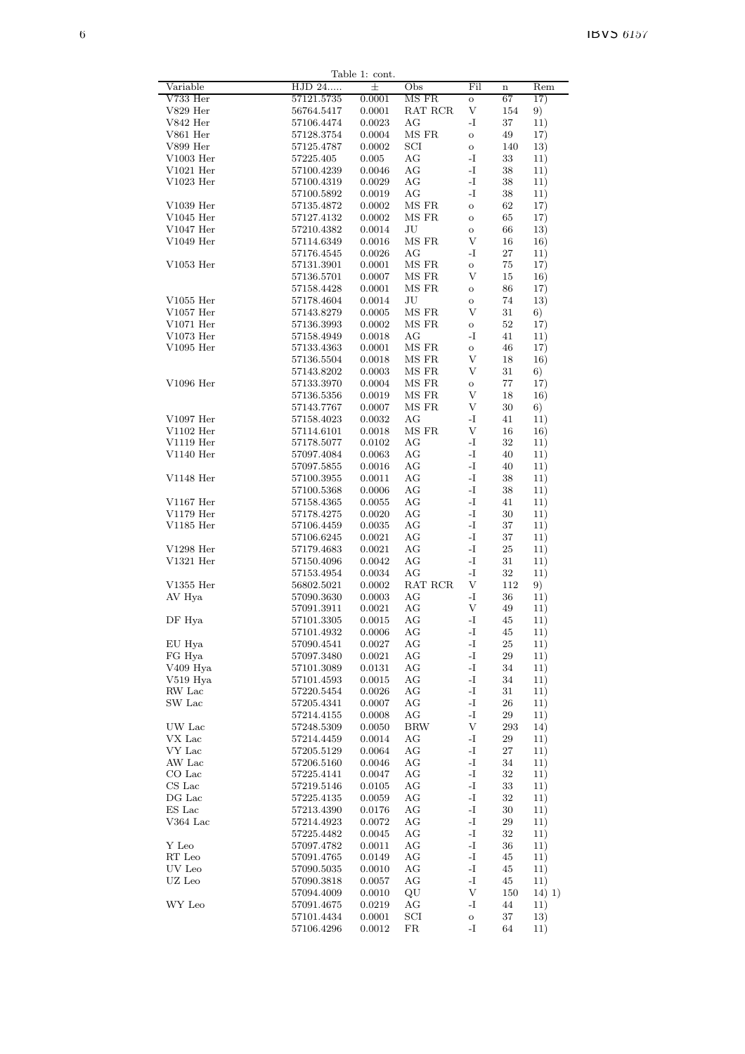| Variable                              | HJD 24                   | Table 1: cont.<br>士 | Obs                | Fil                       | $\mathbf n$ | Rem        |
|---------------------------------------|--------------------------|---------------------|--------------------|---------------------------|-------------|------------|
| V733 Her                              | 57121.5735               | 0.0001              | MS FR              | $\mathbf{o}$              | 67          | 17)        |
| $V829$ Her                            | 56764.5417               | 0.0001              | RAT RCR            | V                         | 154         | 9)         |
| $V842$ Her                            |                          | 0.0023              | AG                 | -I                        | 37          | 11)        |
|                                       | 57106.4474               |                     | MS FR              |                           |             |            |
| V861 Her                              | 57128.3754               | 0.0004              |                    | $\mathbf O$               | 49          | 17)        |
| V899 Her                              | 57125.4787               | 0.0002              | $_{\rm SCI}$       | $\mathbf{o}$              | 140         | 13)        |
| $V1003$ Her                           | 57225.405                | 0.005               | AG                 | $\mathbf{-I}$             | $33\,$      | 11)        |
| $V1021$ Her                           | 57100.4239               | 0.0046              | AG                 | -I                        | 38          | 11)        |
| $V1023$ Her                           | 57100.4319               | 0.0029              | АG                 | -1                        | 38          | 11)        |
|                                       | 57100.5892               | 0.0019              | AG                 | $\mathbf{-I}$             | 38          | 11)        |
| V1039 Her                             | 57135.4872               | 0.0002              | MS FR              | $\mathbf O$               | 62          | 17)        |
| $V1045$ Her                           | 57127.4132               | 0.0002              | MS FR              | $\mathbf O$               | 65          | 17)        |
| $V1047$ Her                           | 57210.4382               | 0.0014              | JU                 | $\mathbf O$               | 66          | 13)        |
| $V1049$ Her                           | 57114.6349               | 0.0016              | MS FR              | V                         | 16          | 16)        |
|                                       | 57176.4545               | 0.0026              | AG                 | -I                        | 27          | 11)        |
| $V1053$ Her                           | 57131.3901               | 0.0001              | MS FR              | $\mathbf O$               | 75          | 17)        |
|                                       | 57136.5701               | 0.0007              | MS FR              | V                         | 15          | 16)        |
|                                       | 57158.4428               | 0.0001              | MS FR              | $\mathbf O$               | 86          | 17)        |
| $V1055$ Her                           | 57178.4604               | 0.0014              | JU                 | $\mathbf O$               | 74          | 13)        |
| $V1057$ Her                           | 57143.8279               | 0.0005              | $\rm MS~FR$        | V                         | 31          | 6)         |
| $V1071$ Her                           | 57136.3993               | 0.0002              | MS FR              | $\mathbf O$               | $52\,$      | 17)        |
| $V1073$ Her                           | 57158.4949               | 0.0018              | AG                 | -I                        | 41          | 11)        |
| $V1095$ Her                           | 57133.4363               | 0.0001              | MS FR              | $\mathbf O$               | 46          | 17)        |
|                                       | 57136.5504               | 0.0018              | MS FR              | V                         | 18          | 16)        |
|                                       | 57143.8202               | 0.0003              | MS FR              | V                         | 31          | 6)         |
| V1096 Her                             | 57133.3970               | 0.0004              | MS FR              |                           | 77          | 17)        |
|                                       |                          |                     | $\rm{MS}\ FR$      | $\mathbf O$<br>V          |             |            |
|                                       | 57136.5356               | 0.0019              |                    |                           | 18          | 16)        |
|                                       | 57143.7767               | 0.0007              | MS FR              | V                         | 30          | 6)         |
| $V1097$ Her                           | 57158.4023               | 0.0032              | AG                 | -1                        | 41          | 11)        |
| $V1102$ Her                           | 57114.6101               | 0.0018              | MS FR              | V                         | 16          | 16)        |
| $V1119$ Her                           | 57178.5077               | 0.0102              | АG                 | -I                        | 32          | 11)        |
| $V1140$ Her                           | 57097.4084               | 0.0063              | AG                 | -I                        | 40          | 11)        |
|                                       | 57097.5855               | 0.0016              | AG                 | $\mathbf{-I}$             | 40          | 11)        |
| $V1148$ Her                           | 57100.3955               | 0.0011              | AG                 | -I                        | 38          | 11)        |
|                                       | 57100.5368               | 0.0006              | АG                 | -I                        | 38          | 11)        |
| $V1167$ Her                           | 57158.4365               | 0.0055              | AG                 | -I                        | 41          | 11)        |
| $V1179$ Her                           | 57178.4275               | 0.0020              | АG                 | $\mathbf{-I}$             | 30          | 11)        |
| $V1185$ Her                           | 57106.4459               | 0.0035              | АG                 | $\mathbf{-I}$             | 37          | 11)        |
|                                       | 57106.6245               | 0.0021              | AG                 | -I                        | 37          | 11)        |
| V1298 Her                             | 57179.4683               | 0.0021              | AG                 | $\mathbf{-I}$             | 25          | 11)        |
| $V1321$ Her                           | 57150.4096               | 0.0042              | АG                 | -I                        | 31          | 11)        |
|                                       | 57153.4954               | 0.0034              | AG                 | $\mathbf{-I}$             | 32          | 11)        |
| $V1355$ Her                           | 56802.5021               | 0.0002              | RAT RCR            | V                         | 112         | 9)         |
| AV Hya                                | 57090.3630               | 0.0003              | AG                 | -I                        | 36          | 11)        |
|                                       | 57091.3911               | 0.0021              | AG                 | V                         | 49          | 11)        |
| DF Hya                                | 57101.3305               | 0.0015              | AG                 | $\mathbf{-I}$             | 45          | 11)        |
|                                       | 57101.4932               | 0.0006              | AG                 | -1                        | 45          | 11)        |
| EU Hya                                | 57090.4541               | 0.0027              | AG                 | $\mathbf{I}$              | 25          | 11)        |
| FG Hya                                | 57097.3480               | 0.0021              | AG                 | $\mathbf{I}$              | 29          | 11)        |
| V409 Hya                              |                          | 0.0131              | AG                 | $\mathbf{I}$              | 34          | 11)        |
|                                       | 57101.3089               |                     |                    | -I                        |             |            |
| V519 Hya                              | 57101.4593               | 0.0015              | AG                 |                           | 34          | 11)        |
| RW Lac                                | 57220.5454               | 0.0026              | AG                 | $\mathbf{I}$              | $31\,$      | 11)        |
| $\ensuremath{\mathsf{SW}}\xspace$ Lac | 57205.4341               | 0.0007              | AG                 | $\mathbf{I}$              | 26          | 11)        |
|                                       | 57214.4155               | 0.0008              | AG                 | $\mathbf{I}$              | $\bf 29$    | 11)        |
| UW Lac                                | 57248.5309               | 0.0050              | <b>BRW</b>         | $\ensuremath{\mathbf{V}}$ | 293         | 14)        |
| VX Lac                                | 57214.4459               | 0.0014              | AG                 | $\mathbf{I}$              | $\bf 29$    | 11)        |
| VY Lac                                | 57205.5129               | 0.0064              | AG                 | $\mathbf{I}$              | 27          | 11)        |
| AW Lac                                | 57206.5160               | 0.0046              | AG                 | -I                        | 34          | 11)        |
| CO Lac                                | 57225.4141               | 0.0047              | AG                 | $\mathbf{-I}$             | $32\,$      | 11)        |
| CS Lac                                | 57219.5146               | 0.0105              | AG                 | -I                        | $33\,$      | 11)        |
| DG Lac                                | 57225.4135               | 0.0059              | AG                 | $\mathbf{I}$              | $32\,$      | 11)        |
| ES Lac                                | 57213.4390               | 0.0176              | AG                 | $\mathbf{I}$              | 30          | 11)        |
| $V364$ Lac                            | 57214.4923               | 0.0072              | AG                 | $\mathbf I$ .             | $\bf 29$    | 11)        |
|                                       | 57225.4482               | 0.0045              | AG                 | $\mathbf{I}$              | 32          | 11)        |
| $\mathbf Y$ Leo                       | 57097.4782               | 0.0011              | AG                 | $\mathbf{I}$              | 36          | 11)        |
| RT Leo                                | 57091.4765               | 0.0149              | AG                 | $\mathbf{I}$              | 45          | 11)        |
|                                       | 57090.5035               | 0.0010              | AG                 | $\mathbf{I}$              | 45          | 11)        |
|                                       |                          |                     |                    | $\mathbf{I}$              | 45          | 11)        |
| UV Leo                                |                          |                     |                    |                           |             |            |
| UZ Leo                                | 57090.3818               | 0.0057              | AG                 |                           |             |            |
|                                       | 57094.4009               | 0.0010              | QU                 | $\ensuremath{\mathbf{V}}$ | 150         | 14) 1)     |
| WY Leo                                | 57091.4675<br>57101.4434 | 0.0219<br>0.0001    | AG<br>$_{\rm SCI}$ | -1<br>$\mathbf O$         | 44<br>37    | 11)<br>13) |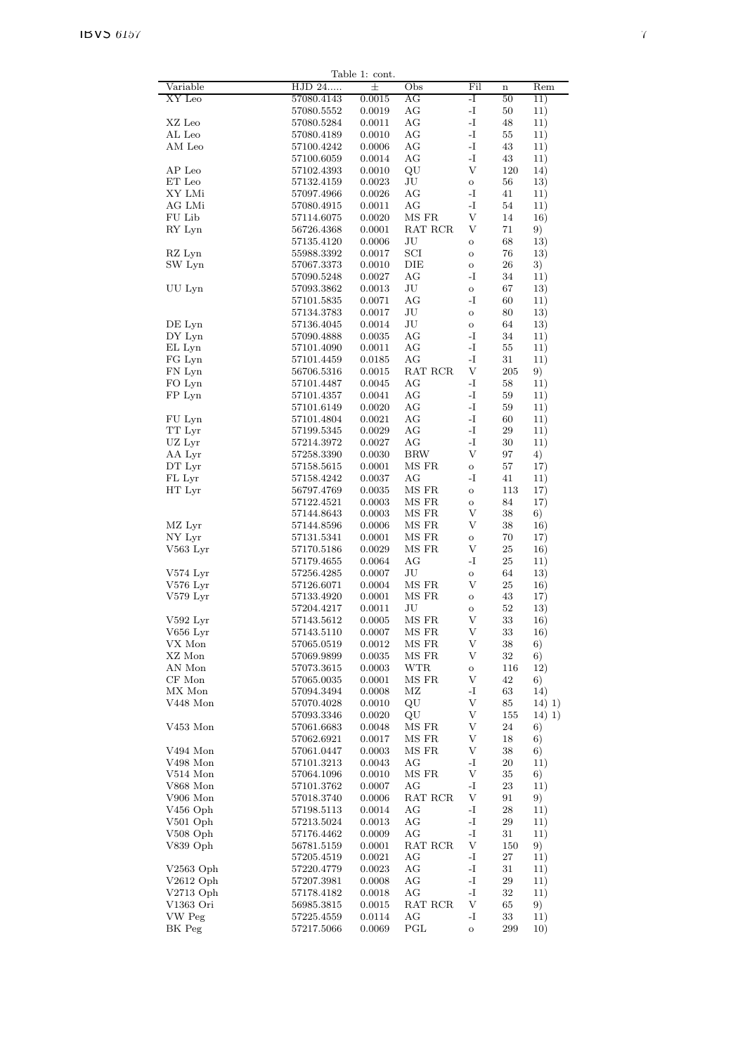|                            |                          | Table 1: cont.   |                                           |                     |          |                  |
|----------------------------|--------------------------|------------------|-------------------------------------------|---------------------|----------|------------------|
| Variable                   | HJD 24                   | $\pm$            | Obs                                       | Fil                 | $\bf n$  | Rem              |
| XY Leo                     | 57080.4143               | 0.0015           | AG                                        | $\mathbf{-I}$       | 50       | 11)              |
|                            | 57080.5552               | 0.0019           | $\rm{AG}$                                 | $\mathbf{-I}$       | 50       | 11)              |
| XZ Leo                     | 57080.5284               | 0.0011           | AG                                        | $\mathbf{-I}$       | 48       | 11)              |
| AL Leo                     | 57080.4189               | 0.0010           | AG                                        | $\mathbf{-I}$       | 55       | 11)              |
| AM Leo                     | 57100.4242               | 0.0006           | AG                                        | -I                  | 43       | 11)              |
|                            | 57100.6059               | 0.0014           | AG                                        | $\mathbf{-I}$       | 43       | 11)              |
| AP Leo                     | 57102.4393               | 0.0010           | QU                                        | V                   | 120      | 14)              |
| ET Leo                     | 57132.4159               | 0.0023           | JU                                        | $\mathbf O$         | 56       | 13)              |
| XY LMi                     | 57097.4966               | 0.0026           | AG                                        | $\mathbf{-I}$       | 41       | 11)              |
| AG LMi<br>FU Lib           | 57080.4915               | 0.0011<br>0.0020 | AG<br>MS FR                               | -I<br>V             | 54<br>14 | 11)              |
| RY Lyn                     | 57114.6075<br>56726.4368 | 0.0001           | RAT RCR                                   | V                   | 71       | 16)<br>9)        |
|                            | 57135.4120               | 0.0006           | JU                                        | $\mathbf O$         | 68       | 13)              |
| RZ Lyn                     | 55988.3392               | 0.0017           | SCI                                       | $\mathbf O$         | 76       | 13)              |
| SW Lyn                     | 57067.3373               | 0.0010           | DIE                                       | $\mathbf O$         | 26       | 3)               |
|                            | 57090.5248               | 0.0027           | AG                                        | -I                  | 34       | 11)              |
| UU Lyn                     | 57093.3862               | 0.0013           | JU                                        | $\mathbf O$         | 67       | 13)              |
|                            | 57101.5835               | 0.0071           | AG                                        | -I                  | 60       | 11)              |
|                            | 57134.3783               | 0.0017           | $\rm{J}U$                                 | $\mathbf O$         | 80       | 13)              |
| DE Lyn                     | 57136.4045               | 0.0014           | $\rm{J}U$                                 | $\mathbf O$         | 64       | 13)              |
| DY Lyn                     | 57090.4888               | 0.0035           | AG                                        | $\mathbf{-I}$       | 34       | 11)              |
| EL Lyn                     | 57101.4090               | 0.0011           | AG                                        | $\mathbf{-I}$       | 55       | 11)              |
| FG Lyn                     | 57101.4459               | 0.0185           | AG                                        | $\mathbf{-I}$       | 31       | 11)              |
| FN Lyn                     | 56706.5316               | 0.0015           | RAT RCR                                   | V                   | 205      | 9)               |
| FO Lyn                     | 57101.4487               | 0.0045           | AG<br>AG                                  | -1<br>$\mathbf{I}$  | 58       | 11)              |
| FP Lyn                     | 57101.4357<br>57101.6149 | 0.0041<br>0.0020 | AG                                        | -I                  | 59<br>59 | 11)<br>11)       |
| FU Lyn                     | 57101.4804               | 0.0021           | AG                                        | $\mathbf{-I}$       | 60       | 11)              |
| TT Lyr                     | 57199.5345               | 0.0029           | AG                                        | $\mathbf{-I}$       | 29       | 11)              |
| UZ Lyr                     | 57214.3972               | 0.0027           | AG                                        | $\mathbf{-I}$       | 30       | 11)              |
| AA Lyr                     | 57258.3390               | 0.0030           | <b>BRW</b>                                | V                   | 97       | 4)               |
| DT Lyr                     | 57158.5615               | 0.0001           | MS FR                                     | $\mathbf O$         | 57       | 17)              |
| FL Lyr                     | 57158.4242               | 0.0037           | AG                                        | $\mathbf{-I}$       | 41       | 11)              |
| HT Lyr                     | 56797.4769               | 0.0035           | $\rm MS~FR$                               | $\mathbf{o}$        | 113      | 17)              |
|                            | 57122.4521               | 0.0003           | MS FR                                     | $\mathbf O$         | 84       | 17)              |
|                            | 57144.8643               | 0.0003           | MS FR                                     | V                   | 38       | 6)               |
| MZ Lyr                     | 57144.8596               | 0.0006           | MS FR                                     | V                   | $38\,$   | 16)              |
| NY Lyr<br>$V563$ Lyr       | 57131.5341               | 0.0001<br>0.0029 | MS FR<br>MS FR                            | $\mathbf O$<br>V    | 70<br>25 | 17)              |
|                            | 57170.5186<br>57179.4655 | 0.0064           | AG                                        | -I                  | 25       | 16)<br>11)       |
| $V574$ Lyr                 | 57256.4285               | 0.0007           | $\rm{J}U$                                 | $\mathbf O$         | 64       | 13)              |
| $V576$ Lyr                 | 57126.6071               | 0.0004           | MS FR                                     | V                   | $25\,$   | 16)              |
| $V579$ Lyr                 | 57133.4920               | 0.0001           | MS FR                                     | $\mathbf O$         | 43       | 17)              |
|                            | 57204.4217               | 0.0011           | JU                                        | $\mathbf O$         | 52       | 13)              |
| $V592$ Lyr                 | 57143.5612               | 0.0005           | MS FR                                     | V                   | 33       | 16)              |
| $V656$ Lyr                 | 57143.5110               | 0.0007           | MS FR                                     | V                   | 33       | 16)              |
| VX Mon                     | 57065.0519               | 0.0012           | $\rm MS~FR$                               | V                   | 38       | 6)               |
| XZ Mon                     | 57069.9899               | 0.0035           | $\rm MS~FR$                               | V                   | $32\,$   | 6)               |
| AN Mon                     | 57073.3615               | 0.0003           | <b>WTR</b>                                | $\mathbf O$         | 116      | 12)              |
| CF Mon                     | 57065.0035               | 0.0001           | MS FR                                     | V                   | 42       | 6)               |
| MX Mon<br>$V448$ Mon       | 57094.3494               | 0.0008           | $\rm MZ$                                  | -1<br>V             | 63<br>85 | 14)              |
|                            | 57070.4028<br>57093.3346 | 0.0010<br>0.0020 | QU<br>QU                                  | V                   | 155      | 14) 1)<br>14) 1) |
| $\rm V453$ Mon             | 57061.6683               | 0.0048           | $\rm MS~FR$                               | V                   | 24       | 6)               |
|                            | 57062.6921               | $0.0017\,$       | $\rm MS~FR$                               | V                   | 18       | 6)               |
| V494 Mon                   | 57061.0447               | 0.0003           | MS FR                                     | V                   | 38       | 6)               |
| V498 Mon                   | 57101.3213               | 0.0043           | AG                                        | -1                  | 20       | 11)              |
| V514 Mon                   | 57064.1096               | 0.0010           | $\rm MS~FR$                               | V                   | 35       | 6)               |
| $V868$ Mon                 | 57101.3762               | 0.0007           | $\rm{AG}$                                 | -I                  | 23       | 11)              |
| $V906$ Mon                 | 57018.3740               | 0.0006           | $\operatorname{RAT}$ $\operatorname{RCR}$ | V                   | 91       | 9)               |
| V456 Oph                   | 57198.5113               | 0.0014           | AG                                        | $\mathbf{I}$        | 28       | 11)              |
| $V501$ Oph                 | 57213.5024               | 0.0013           | AG                                        | -1                  | 29       | 11)              |
| V508 Oph                   | 57176.4462               | 0.0009           | AG                                        | -1                  | 31       | 11)              |
| V839 Oph                   | 56781.5159               | 0.0001           | $\operatorname{RAT}$ $\operatorname{RCR}$ | V                   | 150      | 9)               |
|                            | 57205.4519               | 0.0021           | AG                                        | $\mathbf{I}$        | 27       | 11)              |
| $V2563$ Oph                | 57220.4779               | 0.0023           | АG                                        | $\mathbf{I}$        | 31       | 11)              |
| $V2612$ Oph<br>$V2713$ Oph | 57207.3981               | 0.0008           | AG<br>AG                                  | -I<br>$\mathbf{-I}$ | 29<br>32 | 11)<br>11)       |
| V1363 Ori                  | 57178.4182<br>56985.3815 | 0.0018<br>0.0015 | RAT RCR                                   | V                   | 65       | 9)               |
| VW Peg                     | 57225.4559               | 0.0114           | AG                                        | -1                  | 33       | 11)              |
| BK Peg                     | 57217.5066               | 0.0069           | PGL                                       | $\rm{O}$            | 299      | 10)              |
|                            |                          |                  |                                           |                     |          |                  |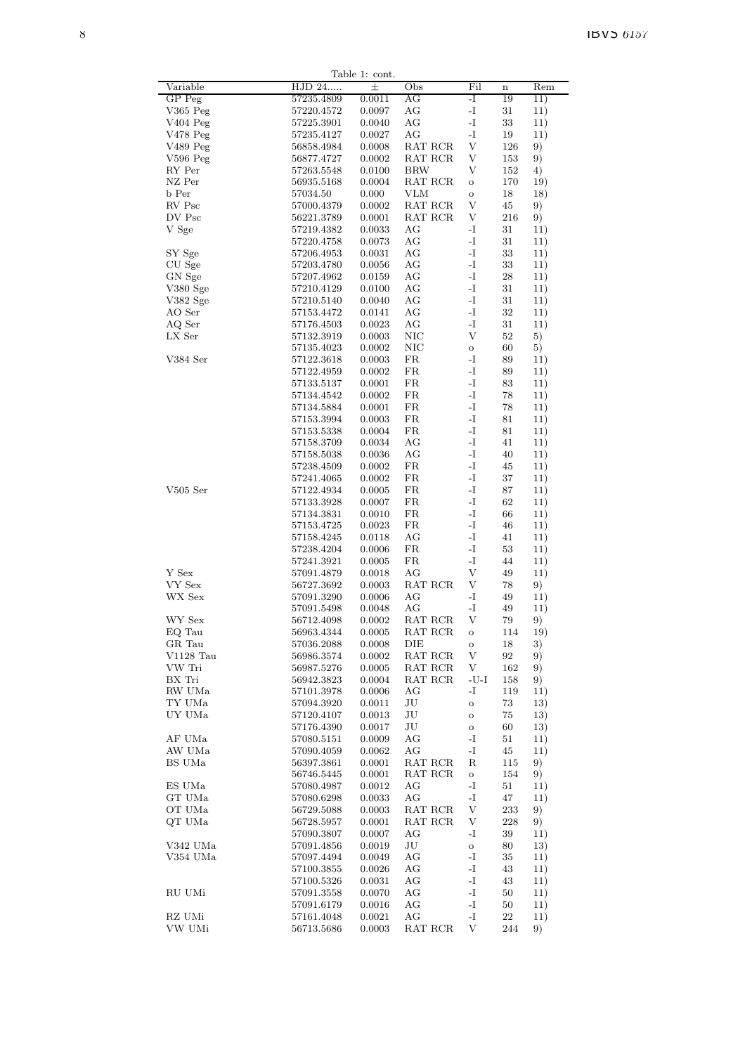|                            |                          | Table 1: cont.   |                            |                                |                   |            |
|----------------------------|--------------------------|------------------|----------------------------|--------------------------------|-------------------|------------|
| Variable                   | HJD 24                   | $\pm$            | Obs                        | Fil                            | $\mathbf n$       | Rem        |
| GP Peg                     | 57235.4809               | 0.0011           | AG                         | -I                             | 19                | 11)        |
| $V365$ Peg                 | 57220.4572               | 0.0097           | AG                         | -I                             | 31                | 11)        |
| $V404$ Peg                 | 57225.3901               | 0.0040           | AG                         | $\mathbf{-I}$<br>$\mathbf I$ – | 33                | 11)        |
| $V478$ Peg<br>V489 Peg     | 57235.4127<br>56858.4984 | 0.0027<br>0.0008 | AG<br>RAT RCR              | V                              | 19<br>126         | 11)        |
| $V596$ Peg                 | 56877.4727               | 0.0002           | RAT RCR                    | V                              | 153               | 9)<br>9)   |
| RY Per                     | 57263.5548               | 0.0100           | <b>BRW</b>                 | V                              | 152               | 4)         |
| NZ Per                     | 56935.5168               | 0.0004           | RAT RCR                    | $\mathbf O$                    | 170               | 19)        |
| b Per                      | 57034.50                 | 0.000            | <b>VLM</b>                 | $\mathbf O$                    | 18                | 18)        |
| RV Psc                     | 57000.4379               | 0.0002           | RAT RCR                    | V                              | 45                | 9)         |
| DV Psc                     | 56221.3789               | 0.0001           | RAT RCR                    | V                              | 216               | 9)         |
| V Sge                      | 57219.4382               | 0.0033           | AG                         | -I                             | 31                | 11)        |
|                            | 57220.4758               | 0.0073           | AG                         | -I                             | 31                | 11)        |
| SY Sge                     | 57206.4953               | 0.0031           | AG                         | $\mathbf I$ –                  | 33                | 11)        |
| CU Sge                     | 57203.4780               | 0.0056           | AG                         | -I                             | 33                | 11)        |
| GN Sge                     | 57207.4962               | 0.0159           | AG                         | -I                             | 28                | 11)        |
| V380Sge                    | 57210.4129               | 0.0100           | AG                         | -I                             | 31                | 11)        |
| V382 Sge                   | 57210.5140               | 0.0040           | AG                         | -I                             | 31                | 11)        |
| AO Ser                     | 57153.4472               | 0.0141           | AG                         | -I                             | 32                | 11)        |
| AQ Ser                     | 57176.4503               | 0.0023           | AG                         | -I                             | 31                | 11)        |
| LX Ser                     | 57132.3919               | 0.0003           | $_{\rm NIC}$<br><b>NIC</b> | V                              | 52                | 5)         |
| V384 Ser                   | 57135.4023<br>57122.3618 | 0.0002<br>0.0003 | FR                         | $\mathbf O$<br>$\mathbf I$ –   | 60<br>89          | 5)         |
|                            | 57122.4959               | 0.0002           | FR                         | -I                             | 89                | 11)<br>11) |
|                            | 57133.5137               | 0.0001           | FR                         | -I                             | 83                | 11)        |
|                            | 57134.4542               | 0.0002           | FR                         | -I                             | 78                | 11)        |
|                            | 57134.5884               | 0.0001           | FR                         | -I                             | 78                | 11)        |
|                            | 57153.3994               | 0.0003           | FR                         | -I                             | 81                | 11)        |
|                            | 57153.5338               | 0.0004           | FR                         | -I                             | 81                | 11)        |
|                            | 57158.3709               | 0.0034           | AG                         | $\mathbf I$ –                  | 41                | 11)        |
|                            | 57158.5038               | 0.0036           | AG                         | -I                             | 40                | 11)        |
|                            | 57238.4509               | 0.0002           | FR                         | -I                             | 45                | 11)        |
|                            | 57241.4065               | 0.0002           | FR                         | -I                             | 37                | 11)        |
| $V505$ Ser                 | 57122.4934               | 0.0005           | FR                         | -I                             | 87                | 11)        |
|                            | 57133.3928               | 0.0007           | $_{\rm FR}$                | $\mathbf I$ –                  | 62                | 11)        |
|                            | 57134.3831               | 0.0010           | FR                         | -I                             | 66                | 11)        |
|                            | 57153.4725               | 0.0023           | FR                         | -I                             | 46                | 11)        |
|                            | 57158.4245               | 0.0118           | AG                         | -I                             | 41                | 11)        |
|                            | 57238.4204               | 0.0006           | FR                         | -I                             | 53                | 11)        |
|                            | 57241.3921               | 0.0005           | FR                         | -I                             | 44                | 11)        |
| Y Sex<br>VY Sex            | 57091.4879<br>56727.3692 | 0.0018<br>0.0003 | AG<br>RAT RCR              | V<br>V                         | 49<br>78          | 11)        |
| WX Sex                     | 57091.3290               | 0.0006           | AG                         | -I                             | 49                | 9)<br>11)  |
|                            | 57091.5498               | 0.0048           | AG                         | -I                             | 49                | 11)        |
| WY Sex                     | 56712.4098               | 0.0002           | RAT RCR                    | V                              | 79                | 9)         |
| EQ Tau                     | 56963.4344               | 0.0005           | RAT RCR                    | $\mathbf O$                    | 114               | 19)        |
| GR Tau                     | $57036.2088\,$           | 0.0008           | DIE                        | $\mathbf O$                    | 18                | 3)         |
| $V1128$ Tau                | 56986.3574               | 0.0002           | RAT RCR                    | V                              | $\boldsymbol{92}$ | 9)         |
| VW Tri                     | 56987.5276               | 0.0005           | RAT RCR                    | V                              | 162               | 9)         |
| BX Tri                     | 56942.3823               | 0.0004           | RAT RCR                    | -U-I                           | 158               | 9)         |
| RW UMa                     | 57101.3978               | 0.0006           | AG                         | -I                             | 119               | 11)        |
| TY UMa                     | 57094.3920               | 0.0011           | JU                         | $\mathbf O$                    | 73                | 13)        |
| UY UMa                     | 57120.4107               | 0.0013           | JU                         | $\mathbf O$                    | 75                | 13)        |
|                            | 57176.4390               | 0.0017           | JU                         | $\mathbf O$                    | 60                | 13)        |
| AF UMa                     | 57080.5151               | 0.0009           | AG                         | -I                             | 51                | 11)        |
| AW UMa                     | 57090.4059               | 0.0062           | AG                         | -I                             | 45                | 11)        |
| BS UMa                     | 56397.3861               | 0.0001           | RAT RCR                    | R                              | 115               | 9)         |
| ES UMa                     | 56746.5445               | 0.0001           | RAT RCR<br>AG              | $\mathbf{o}$<br>-I             | 154               | 9)         |
| GT UMa                     | 57080.4987<br>57080.6298 | 0.0012<br>0.0033 | AG                         | -1                             | 51<br>47          | 11)<br>11) |
| OT UMa                     | 56729.5088               | 0.0003           | RAT RCR                    | V                              | 233               | 9)         |
| QT UMa                     | 56728.5957               | 0.0001           | RAT RCR                    | V                              | 228               | 9)         |
|                            | 57090.3807               | 0.0007           | AG                         | -I                             | 39                | 11)        |
| V342 UMa                   | 57091.4856               | 0.0019           | $\rm{J}U$                  | $\mathbf{o}$                   | 80                | 13)        |
| V354 UMa                   | 57097.4494               | 0.0049           | AG                         | -I                             | 35                | 11)        |
|                            | 57100.3855               | 0.0026           | AG                         | -I                             | 43                | 11)        |
|                            | 57100.5326               | 0.0031           | AG                         | -I                             | 43                | 11)        |
| RU UMi                     | 57091.3558               | 0.0070           | AG                         | -I                             | 50                | 11)        |
|                            | 57091.6179               | 0.0016           | AG                         | -1                             | 50                | 11)        |
| $\mathbf{R}\mathbf{Z}$ UMi | 57161.4048               | 0.0021           | AG                         | -1                             | 22                | 11)        |
| VW UMi                     | 56713.5686               | 0.0003           | RAT RCR                    | V                              | 244               | 9)         |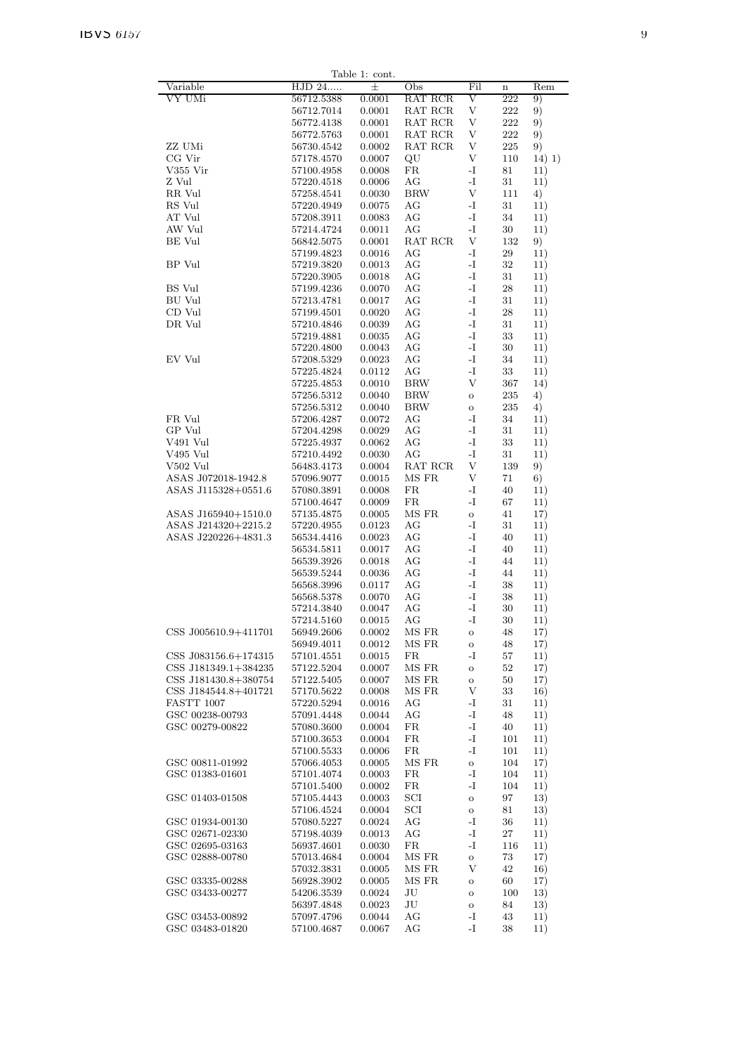|                                              |                          | Table 1: cont.   |                      |                           |             |            |
|----------------------------------------------|--------------------------|------------------|----------------------|---------------------------|-------------|------------|
| Variable                                     | HJD 24                   | $\pm$            | Obs                  | Fil                       | $\mathbf n$ | Rem        |
| VY UMi                                       | 56712.5388               | 0.0001           | RAT RCR              | V                         | 222         | 9)         |
|                                              | 56712.7014               | 0.0001           | RAT RCR              | V                         | 222         | 9)         |
|                                              | 56772.4138               | 0.0001           | RAT RCR              | V                         | 222         | 9)         |
|                                              | 56772.5763               | 0.0001           | RAT RCR              | V                         | $222\,$     | 9)         |
| ZZ UMi                                       | 56730.4542               | 0.0002           | RAT RCR              | V                         | 225         | 9)         |
| CG Vir                                       | 57178.4570               | 0.0007           | QU                   | V                         | 110         | 14) 1)     |
| V355 Vir                                     | 57100.4958               | 0.0008           | FR                   | $\mathbf{I}$              | 81          | 11)        |
| Z Vul                                        | 57220.4518               | 0.0006           | АG                   | $\mathbf{I}$              | 31          | 11)        |
| RR Vul                                       | 57258.4541               | 0.0030           | <b>BRW</b>           | $\ensuremath{\mathbf{V}}$ | 111         | 4)         |
| RS Vul                                       | 57220.4949               | 0.0075           | AG                   | $\mathbf{-I}$             | 31          | 11)        |
| AT Vul                                       | 57208.3911               | 0.0083           | $\rm{AG}$            | $\mathbf{I}$              | 34          | 11)        |
| AW Vul<br>$BE$ $\it{Vul}$                    | 57214.4724               | 0.0011           | AG                   | $\mathbf{I}$<br>V         | 30          | 11)        |
|                                              | 56842.5075               | 0.0001           | RAT RCR<br>AG        | $\mathbf{I}$              | 132         | 9)         |
| BP Vul                                       | 57199.4823<br>57219.3820 | 0.0016<br>0.0013 | AG                   | -I                        | 29<br>32    | 11)        |
|                                              | 57220.3905               | 0.0018           | AG                   | -I                        | 31          | 11)<br>11) |
| BS Vul                                       | 57199.4236               | 0.0070           | AG                   | $\mathbf{I}$              | 28          | 11)        |
| <b>BU</b> Vul                                | 57213.4781               | 0.0017           | AG                   | -I                        | 31          | 11)        |
| CD Vul                                       | 57199.4501               | 0.0020           | AG                   | -I                        | 28          | 11)        |
| DR Vul                                       | 57210.4846               | 0.0039           | АG                   | $\mathbf{I}$              | 31          | 11)        |
|                                              | 57219.4881               | 0.0035           | АG                   | $\mathbf{I}$              | 33          | 11)        |
|                                              | 57220.4800               | 0.0043           | AG                   | -I                        | 30          | 11)        |
| EV Vul                                       | 57208.5329               | 0.0023           | AG                   | -I                        | 34          | 11)        |
|                                              | 57225.4824               | 0.0112           | AG                   | $\mathbf{I}$              | 33          | 11)        |
|                                              | 57225.4853               | 0.0010           | <b>BRW</b>           | V                         | 367         | 14)        |
|                                              | 57256.5312               | 0.0040           | <b>BRW</b>           | $\mathbf{o}$              | 235         | 4)         |
|                                              | 57256.5312               | 0.0040           | <b>BRW</b>           | $\mathbf O$               | 235         | 4)         |
| FR Vul                                       | 57206.4287               | 0.0072           | АG                   | -I                        | 34          | 11)        |
| GP Vul                                       | 57204.4298               | 0.0029           | AG                   | -I                        | 31          | 11)        |
| V491 Vul                                     | 57225.4937               | 0.0062           | AG                   | -I                        | 33          | 11)        |
| V495 Vul                                     | 57210.4492               | 0.0030           | AG                   | $\mathbf{-I}$             | 31          | 11)        |
| V502 Vul                                     | 56483.4173               | 0.0004           | RAT RCR              | V                         | 139         | 9)         |
| ASAS J072018-1942.8                          | 57096.9077               | 0.0015           | MS FR                | $\mathbf{V}$              | 71          | 6)         |
| ASAS J115328+0551.6                          | 57080.3891               | 0.0008           | FR                   | -1                        | 40          | 11)        |
|                                              | 57100.4647               | 0.0009           | FR                   | $\mathbf{I}$              | 67          | 11)        |
| ASAS J165940+1510.0                          | 57135.4875               | 0.0005           | MS FR                | $\mathbf{o}$              | 41          | 17)        |
| ASAS J214320+2215.2                          | 57220.4955               | 0.0123           | AG                   | $\mathbf{I}$              | 31          | 11)        |
| ASAS J220226+4831.3                          | 56534.4416               | 0.0023           | AG                   | -I                        | 40          | 11)        |
|                                              | 56534.5811               | 0.0017           | AG                   | -I                        | 40          | 11)        |
|                                              | 56539.3926               | 0.0018           | АG                   | $\mathbf{I}$              | 44          | 11)        |
|                                              | 56539.5244               | 0.0036           | АG                   | -1                        | 44          | 11)        |
|                                              | 56568.3996               | 0.0117           | AG                   | -I                        | 38          | 11)        |
|                                              | 56568.5378               | 0.0070           | AG                   | -I                        | 38          | 11)        |
|                                              | 57214.3840               | 0.0047           | АG                   | -I                        | 30          | 11)        |
|                                              | 57214.5160               | 0.0015           | AG                   | $\mathbf{-I}$             | 30          | 11)        |
| CSS J005610.9+411701                         | 56949.2606               | 0.0002           | MS FR                | $\mathbf O$               | 48          | 17)        |
|                                              | 56949.4011               | 0.0012           | MS FR                | $\mathbf O$               | 48          | 17)        |
| CSS J083156.6+174315                         | 57101.4551               | 0.0015           | $_{\rm FR}$<br>MS FR | -I                        | 57          | 11)        |
| CSS J181349.1+384235<br>CSS J181430.8+380754 | 57122.5204               | 0.0007<br>0.0007 | MS FR                | $\mathbf O$               | 52          | 17)        |
| CSS J184544.8+401721                         | 57122.5405<br>57170.5622 | 0.0008           | MS FR                | $\mathbf O$<br>V          | 50<br>33    | 17)<br>16) |
| FASTT 1007                                   | 57220.5294               | 0.0016           | AG                   | -1                        | 31          | 11)        |
| GSC 00238-00793                              | 57091.4448               | 0.0044           | AG                   | $\mathbf{I}$              | 48          | 11)        |
| GSC 00279-00822                              | 57080.3600               | 0.0004           | FR                   | -I                        | 40          | 11)        |
|                                              | 57100.3653               | 0.0004           | FR                   | $\mathbf{-I}$             | 101         | 11)        |
|                                              | 57100.5533               | 0.0006           | $_{\rm FR}$          | -I                        | 101         | 11)        |
| GSC 00811-01992                              | 57066.4053               | 0.0005           | MS FR                | $\mathbf{o}$              | 104         | 17)        |
| GSC 01383-01601                              | 57101.4074               | 0.0003           | FR                   | $\mathbf{-I}$             | 104         | 11)        |
|                                              | 57101.5400               | 0.0002           | $_{\rm FR}$          | -I                        | 104         | 11)        |
| GSC 01403-01508                              | 57105.4443               | 0.0003           | $_{\rm SCI}$         | $\mathbf O$               | 97          | 13)        |
|                                              | 57106.4524               | 0.0004           | SCI                  | $\mathbf O$               | 81          | 13)        |
| GSC 01934-00130                              | 57080.5227               | 0.0024           | AG                   | -I                        | 36          | 11)        |
| GSC 02671-02330                              | 57198.4039               | 0.0013           | AG                   | $\mathbf{I}$              | 27          | 11)        |
| GSC 02695-03163                              | 56937.4601               | 0.0030           | $_{\rm FR}$          | -I                        | 116         | 11)        |
| GSC 02888-00780                              | 57013.4684               | 0.0004           | MS FR                | $\mathbf O$               | 73          | 17)        |
|                                              | 57032.3831               | 0.0005           | MS FR                | V                         | 42          | 16)        |
| GSC 03335-00288                              | 56928.3902               | 0.0005           | MS FR                | $\mathbf O$               | 60          | 17)        |
| GSC 03433-00277                              | 54206.3539               | 0.0024           | JU                   | $\mathbf O$               | 100         | 13)        |
|                                              | 56397.4848               | 0.0023           | JU                   | $\mathbf O$               | 84          | 13)        |
| GSC 03453-00892                              | 57097.4796               | 0.0044           | AG                   | -I                        | 43          | 11)        |
| GSC 03483-01820                              | 57100.4687               | 0.0067           | АG                   | -I                        | 38          | 11)        |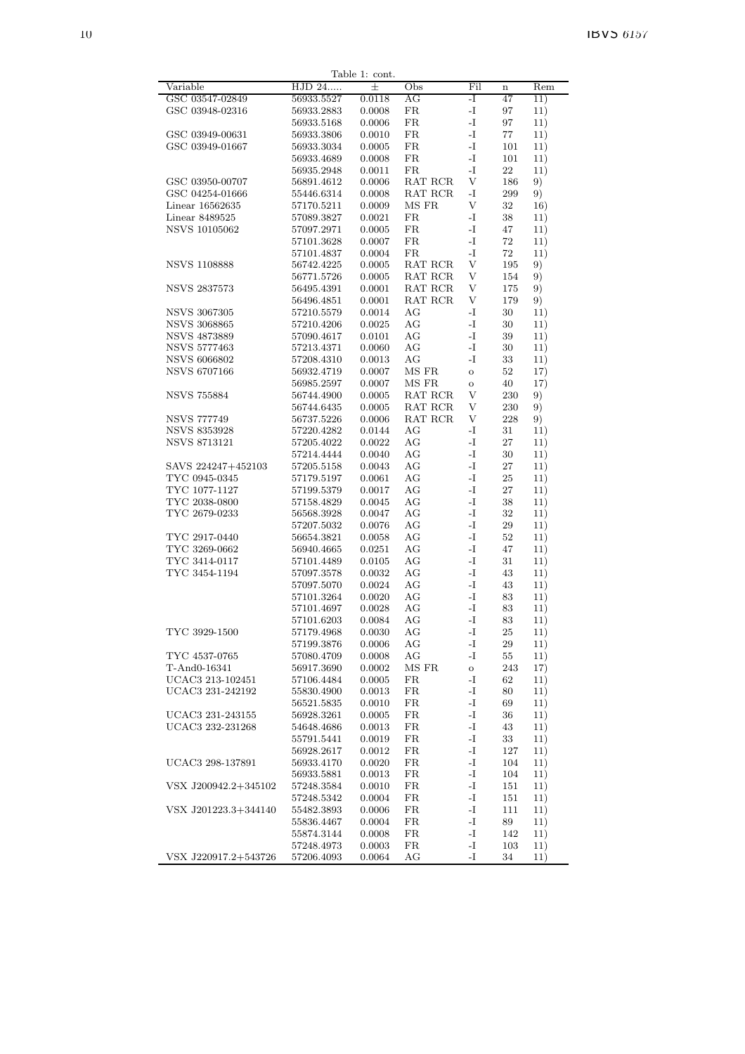|                                   |                          | Table 1: cont.   |                  |             |             |            |
|-----------------------------------|--------------------------|------------------|------------------|-------------|-------------|------------|
| Variable                          | HJD 24                   | 士                | Obs              | Fil         | $\mathbf n$ | Rem        |
| GSC 03547-02849                   | 56933.5527               | 0.0118           | AG               | -I          | 47          | 11)        |
| GSC 03948-02316                   | 56933.2883               | 0.0008           | FR               | -I          | 97          | 11)        |
|                                   | 56933.5168               | 0.0006           | FR               | -1          | 97          | 11)        |
| GSC 03949-00631                   | 56933.3806               | 0.0010           | $_{\rm FR}$      | -I          | 77          | 11)        |
| GSC 03949-01667                   | 56933.3034               | 0.0005           | $_{\rm FR}$      | -1          | 101         | 11)        |
|                                   | 56933.4689               | 0.0008           | FR               | -I          | 101         | 11)        |
|                                   | 56935.2948               | 0.0011           | FR               | -I          | 22          | 11)        |
| GSC 03950-00707                   | 56891.4612               | 0.0006           | RAT RCR          | V           | 186         | 9)         |
| GSC 04254-01666                   | 55446.6314               | 0.0008           | RAT RCR<br>MS FR | -1<br>V     | 299<br>32   | 9)         |
| Linear 16562635<br>Linear 8489525 | 57170.5211<br>57089.3827 | 0.0009<br>0.0021 | $_{\rm FR}$      | -I          | 38          | 16)<br>11) |
| <b>NSVS 10105062</b>              | 57097.2971               | 0.0005           | $_{\rm FR}$      | -1          | 47          | 11)        |
|                                   | 57101.3628               | 0.0007           | FR               | -I          | 72          | 11)        |
|                                   | 57101.4837               | 0.0004           | $_{\rm FR}$      | -I          | $72\,$      | 11)        |
| <b>NSVS 1108888</b>               | 56742.4225               | 0.0005           | RAT RCR          | V           | 195         | 9)         |
|                                   | 56771.5726               | 0.0005           | RAT RCR          | V           | 154         | 9)         |
| <b>NSVS 2837573</b>               | 56495.4391               | 0.0001           | RAT RCR          | V           | 175         | 9)         |
|                                   | 56496.4851               | 0.0001           | RAT RCR          | V           | 179         | 9)         |
| <b>NSVS 3067305</b>               | 57210.5579               | 0.0014           | AG               | -I          | 30          | 11)        |
| <b>NSVS 3068865</b>               | 57210.4206               | 0.0025           | AG               | -I          | 30          | 11)        |
| <b>NSVS 4873889</b>               | 57090.4617               | 0.0101           | AG               | -I          | 39          | 11)        |
| NSVS 5777463                      | 57213.4371               | 0.0060           | AG               | -1          | 30          | 11)        |
| <b>NSVS 6066802</b>               | 57208.4310               | 0.0013           | AG               | -I          | 33          | 11)        |
| <b>NSVS 6707166</b>               | 56932.4719               | 0.0007           | MS FR            | $\mathbf O$ | $52\,$      | 17)        |
|                                   | 56985.2597               | 0.0007           | $\rm MS~FR$      | $\rm{O}$    | 40          | 17)        |
| <b>NSVS 755884</b>                | 56744.4900               | 0.0005           | RAT RCR          | V           | 230         | 9)         |
|                                   | 56744.6435               | 0.0005           | RAT RCR          | V           | 230         | 9)         |
| <b>NSVS 777749</b>                | 56737.5226               | 0.0006           | RAT RCR          | V           | 228         | 9)         |
| <b>NSVS 8353928</b>               | 57220.4282               | 0.0144           | AG               | -I          | 31          | 11)        |
| <b>NSVS 8713121</b>               | 57205.4022               | 0.0022           | AG               | -I          | 27          | 11)        |
|                                   | 57214.4444               | 0.0040           | AG               | -1          | 30          | 11)        |
| SAVS 224247+452103                | 57205.5158               | 0.0043           | AG               | -I          | 27          | 11)        |
| TYC 0945-0345                     | 57179.5197               | 0.0061           | AG               | -1          | 25          | 11)        |
| TYC 1077-1127                     | 57199.5379               | 0.0017           | AG               | -I          | $27\,$      | 11)        |
| TYC 2038-0800                     | 57158.4829               | 0.0045           | AG               | -I          | 38          | 11)        |
| TYC 2679-0233                     | 56568.3928               | 0.0047           | AG               | -1          | 32          | 11)        |
|                                   | 57207.5032               | 0.0076           | AG               | -I          | 29          | 11)        |
| TYC 2917-0440                     | 56654.3821               | 0.0058           | AG               | -1          | $52\,$      | 11)        |
| TYC 3269-0662                     | 56940.4665               | 0.0251           | AG               | -1          | 47          | 11)        |
| TYC 3414-0117<br>TYC 3454-1194    | 57101.4489               | 0.0105           | AG               | -1<br>-1    | 31          | 11)        |
|                                   | 57097.3578<br>57097.5070 | 0.0032<br>0.0024 | AG<br>AG         | -I          | 43<br>43    | 11)        |
|                                   | 57101.3264               | 0.0020           | AG               | -1          | 83          | 11)<br>11) |
|                                   | 57101.4697               | 0.0028           | AG               | -I          | 83          | 11)        |
|                                   | 57101.6203               | 0.0084           | AG               | -I          | 83          | 11)        |
| TYC 3929-1500                     | 57179.4968               | 0.0030           | AG               | -1          | 25          | 11)        |
|                                   | 57199.3876               | 0.0006           | AG               | -1          | 29          | 11)        |
| TYC 4537-0765                     | 57080.4709               | 0.0008           | AG               | -I          | 55          | 11)        |
| T-And0-16341                      | 56917.3690               | 0.0002           | $\rm MS~FR$      | $\mathbf O$ | 243         | 17)        |
| UCAC3 213-102451                  | 57106.4484               | 0.0005           | FR               | -I          | 62          | 11)        |
| UCAC3 231-242192                  | 55830.4900               | 0.0013           | $_{\rm FR}$      | -I          | 80          | 11)        |
|                                   | 56521.5835               | 0.0010           | FR               | -I          | 69          | 11)        |
| UCAC3 231-243155                  | 56928.3261               | 0.0005           | FR               | $\mathbf I$ | 36          | 11)        |
| UCAC3 232-231268                  | 54648.4686               | 0.0013           | FR               | -1          | 43          | 11)        |
|                                   | 55791.5441               | 0.0019           | FR               | -1          | 33          | 11)        |
|                                   | 56928.2617               | 0.0012           | FR               | -1          | 127         | 11)        |
| UCAC3 298-137891                  | 56933.4170               | 0.0020           | FR               | -1          | 104         | 11)        |
|                                   | 56933.5881               | 0.0013           | FR               | -1          | 104         | 11)        |
| VSX J200942.2+345102              | 57248.3584               | 0.0010           | FR               | -1          | 151         | 11)        |
|                                   | 57248.5342               | 0.0004           | FR               | $\mathbf I$ | 151         | 11)        |
| VSX J201223.3+344140              | 55482.3893               | 0.0006           | FR               | -1          | 111         | 11)        |
|                                   | 55836.4467               | 0.0004           | FR               | -1          | 89          | 11)        |
|                                   | 55874.3144               | 0.0008           | FR               | -1          | 142         | 11)        |
|                                   | 57248.4973               | 0.0003           | FR               | -I          | 103         | 11)        |
| VSX J220917.2+543726              | 57206.4093               | 0.0064           | AG               | -I          | 34          | 11)        |